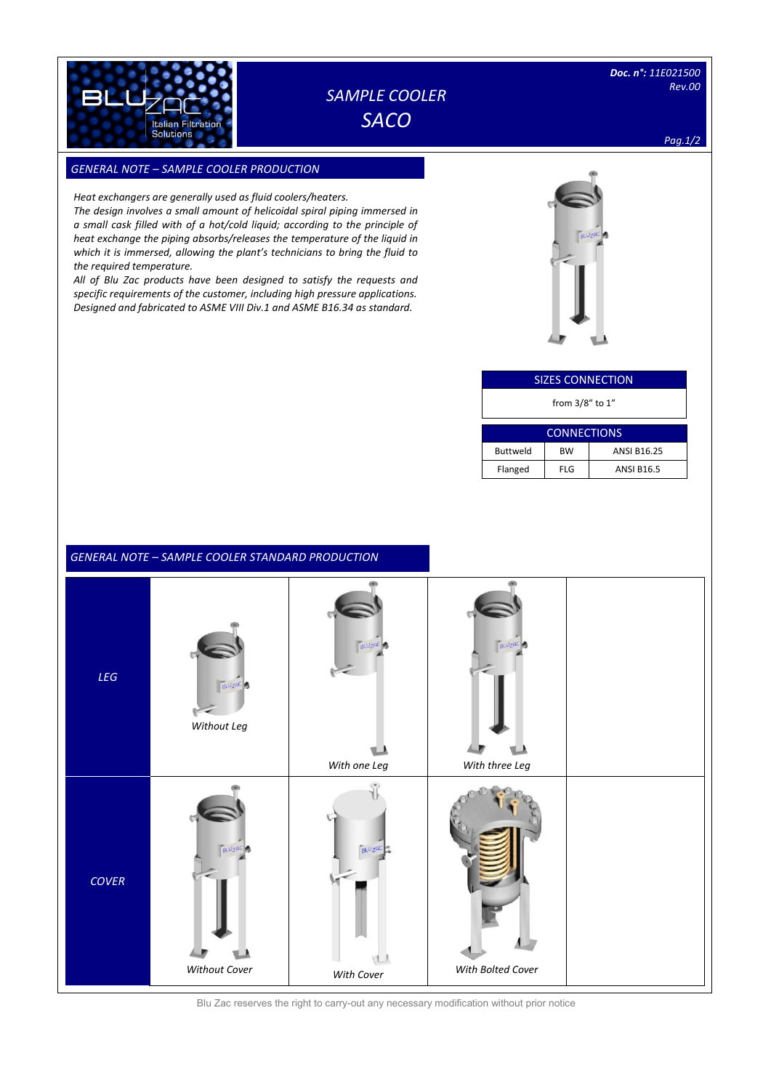

## *SAMPLE COOLER SACO*

*Pag.1/2*

### *GENERAL NOTE – SAMPLE COOLER PRODUCTION SIZES*

*Heat exchangers are generally used as fluid coolers/heaters.*

*The design involves a small amount of helicoidal spiral piping immersed in a small cask filled with of a hot/cold liquid; according to the principle of heat exchange the piping absorbs/releases the temperature of the liquid in which it is immersed, allowing the plant's technicians to bring the fluid to the required temperature.*

*All of Blu Zac products have been designed to satisfy the requests and specific requirements of the customer, including high pressure applications. Designed and fabricated to ASME VIII Div.1 and ASME B16.34 as standard.*



| <b>SIZES CONNECTION</b> |            |                    |  |
|-------------------------|------------|--------------------|--|
| from $3/8$ " to $1$ "   |            |                    |  |
|                         |            |                    |  |
| <b>CONNECTIONS</b>      |            |                    |  |
| <b>Buttweld</b>         | BW         | <b>ANSI B16.25</b> |  |
| Flanged                 | <b>FLG</b> |                    |  |

### *GENERAL NOTE – SAMPLE COOLER STANDARD PRODUCTION*



Blu Zac reserves the right to carry-out any necessary modification without prior notice